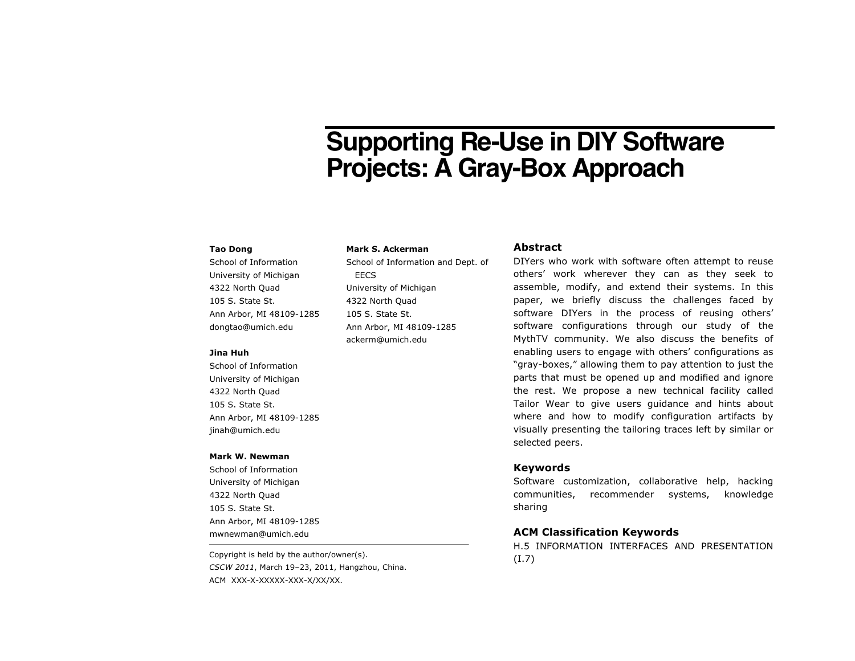# **Supporting Re-Use in DIY Software Projects: A Gray-Box Approach**

#### **Tao Dong**

School of Information University of Michigan 4322 North Quad 105 S. State St. Ann Arbor, MI 48109-1285 dongtao@umich.edu

### **Jina Huh**

School of Information University of Michigan 4322 North Quad 105 S. State St. Ann Arbor, MI 48109-1285 jinah@umich.edu

#### **Mark W. Newman**

School of Information University of Michigan 4322 North Quad 105 S. State St. Ann Arbor, MI 48109-1285 mwnewman@umich.edu

Copyright is held by the author/owner(s).  $(1.7)$ *CSCW 2011*, March 19–23, 2011, Hangzhou, China. ACM XXX-X-XXXXX-XXX-X/XX/XX.

#### **Mark S. Ackerman**

School of Information and Dept. of EECS University of Michigan 4322 North Quad 105 S. State St. Ann Arbor, MI 48109-1285 ackerm@umich.edu

## **Abstract**

DIYers who work with software often attempt to reuse others' work wherever they can as they seek to assemble, modify, and extend their systems. In this paper, we briefly discuss the challenges faced by software DIYers in the process of reusing others' software configurations through our study of the MythTV community. We also discuss the benefits of enabling users to engage with others' configurations as "gray-boxes," allowing them to pay attention to just the parts that must be opened up and modified and ignore the rest. We propose a new technical facility called Tailor Wear to give users guidance and hints about where and how to modify configuration artifacts by visually presenting the tailoring traces left by similar or selected peers.

## **Keywords**

Software customization, collaborative help, hacking communities, recommender systems, knowledge sharing

# **ACM Classification Keywords**

H.5 INFORMATION INTERFACES AND PRESENTATION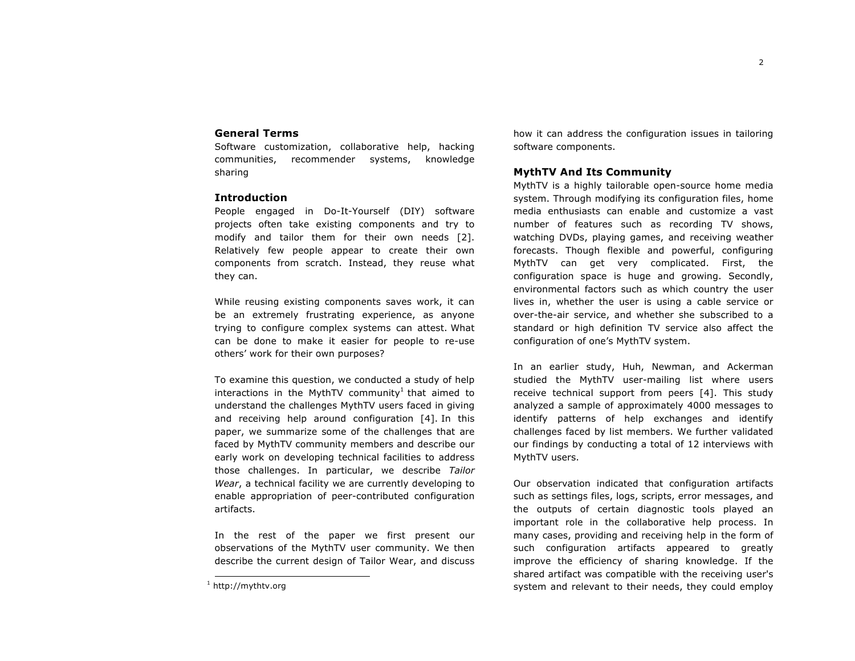# **General Terms**

Software customization, collaborative help, hacking communities, recommender systems, knowledge sharing

# **Introduction**

People engaged in Do-It-Yourself (DIY) software projects often take existing components and try to modify and tailor them for their own needs [2]. Relatively few people appear to create their own components from scratch. Instead, they reuse what they can.

While reusing existing components saves work, it can be an extremely frustrating experience, as anyone trying to configure complex systems can attest. What can be done to make it easier for people to re-use others' work for their own purposes?

To examine this question, we conducted a study of help interactions in the MythTV community<sup>1</sup> that aimed to understand the challenges MythTV users faced in giving and receiving help around configuration [4]. In this paper, we summarize some of the challenges that are faced by MythTV community members and describe our early work on developing technical facilities to address those challenges. In particular, we describe *Tailor Wear*, a technical facility we are currently developing to enable appropriation of peer-contributed configuration artifacts.

In the rest of the paper we first present our observations of the MythTV user community. We then describe the current design of Tailor Wear, and discuss how it can address the configuration issues in tailoring software components.

### **MythTV And Its Community**

MythTV is a highly tailorable open-source home media system. Through modifying its configuration files, home media enthusiasts can enable and customize a vast number of features such as recording TV shows, watching DVDs, playing games, and receiving weather forecasts. Though flexible and powerful, configuring MythTV can get very complicated. First, the configuration space is huge and growing. Secondly, environmental factors such as which country the user lives in, whether the user is using a cable service or over-the-air service, and whether she subscribed to a standard or high definition TV service also affect the configuration of one's MythTV system.

In an earlier study, Huh, Newman, and Ackerman studied the MythTV user-mailing list where users receive technical support from peers [4]. This study analyzed a sample of approximately 4000 messages to identify patterns of help exchanges and identify challenges faced by list members. We further validated our findings by conducting a total of 12 interviews with MythTV users.

Our observation indicated that configuration artifacts such as settings files, logs, scripts, error messages, and the outputs of certain diagnostic tools played an important role in the collaborative help process. In many cases, providing and receiving help in the form of such configuration artifacts appeared to greatly improve the efficiency of sharing knowledge. If the shared artifact was compatible with the receiving user's system and relevant to their needs, they could employ

 $^1$  http://mythtv.org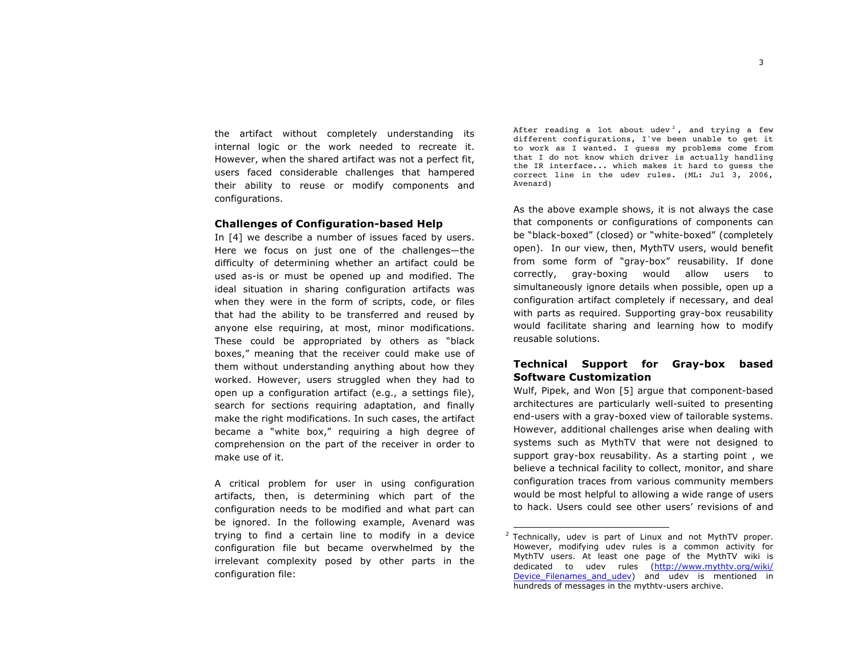3

the artifact without completely understanding its internal logic or the work needed to recreate it. However, when the shared artifact was not a perfect fit, users faced considerable challenges that hampered their ability to reuse or modify components and configurations.

## **Challenges of Configuration-based Help**

In [4] we describe a number of issues faced by users. Here we focus on just one of the challenges—the difficulty of determining whether an artifact could be used as-is or must be opened up and modified. The ideal situation in sharing configuration artifacts was when they were in the form of scripts, code, or files that had the ability to be transferred and reused by anyone else requiring, at most, minor modifications. These could be appropriated by others as "black boxes," meaning that the receiver could make use of them without understanding anything about how they worked. However, users struggled when they had to open up a configuration artifact (e.g., a settings file), search for sections requiring adaptation, and finally make the right modifications. In such cases, the artifact became a "white box," requiring a high degree of comprehension on the part of the receiver in order to make use of it.

A critical problem for user in using configuration artifacts, then, is determining which part of the configuration needs to be modified and what part can be ignored. In the following example, Avenard was trying to find a certain line to modify in a device configuration file but became overwhelmed by the irrelevant complexity posed by other parts in the configuration file:

After reading a lot about udev<sup>2</sup>, and trying a few different configurations, I've been unable to get it to work as I wanted. I guess my problems come from that I do not know which driver is actually handling the IR interface... which makes it hard to guess the correct line in the udev rules. (ML: Jul 3, 2006, Avenard)

As the above example shows, it is not always the case that components or configurations of components can be "black-boxed" (closed) or "white-boxed" (completely open). In our view, then, MythTV users, would benefit from some form of "gray-box" reusability. If done correctly, gray-boxing would allow users to simultaneously ignore details when possible, open up a configuration artifact completely if necessary, and deal with parts as required. Supporting gray-box reusability would facilitate sharing and learning how to modify reusable solutions.

# **Technical Support for Gray-box based Software Customization**

Wulf, Pipek, and Won [5] argue that component-based architectures are particularly well-suited to presenting end-users with a gray-boxed view of tailorable systems. However, additional challenges arise when dealing with systems such as MythTV that were not designed to support gray-box reusability. As a starting point , we believe a technical facility to collect, monitor, and share configuration traces from various community members would be most helpful to allowing a wide range of users to hack. Users could see other users' revisions of and

 $2$  Technically, udey is part of Linux and not MythTV proper. However, modifying udev rules is a common activity for MythTV users. At least one page of the MythTV wiki is dedicated to udev rules (http://www.mythtv.org/wiki/ Device Filenames and udev) and udev is mentioned in hundreds of messages in the mythtv-users archive.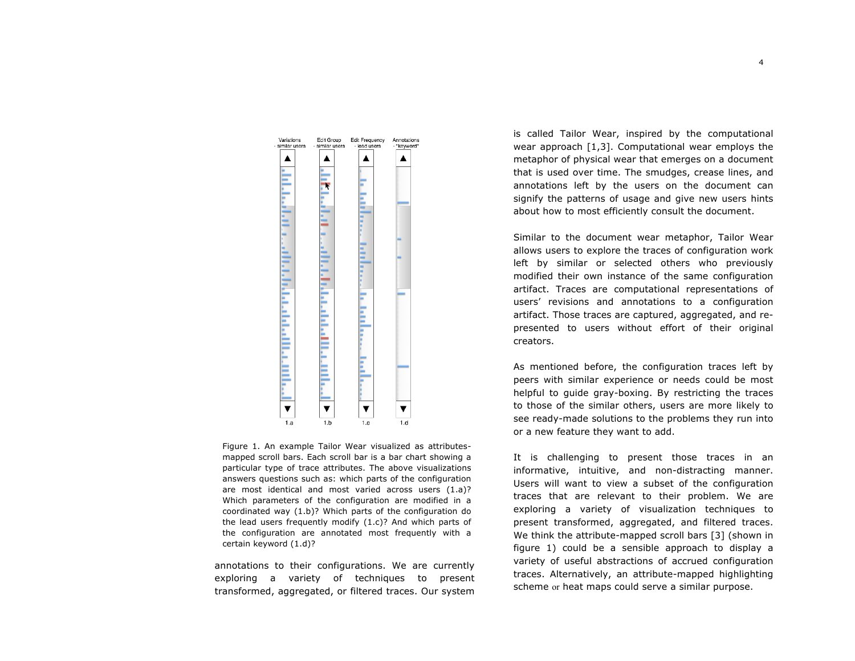

Figure 1. An example Tailor Wear visualized as attributesmapped scroll bars. Each scroll bar is a bar chart showing a particular type of trace attributes. The above visualizations answers questions such as: which parts of the configuration are most identical and most varied across users (1.a)? Which parameters of the configuration are modified in a coordinated way (1.b)? Which parts of the configuration do the lead users frequently modify (1.c)? And which parts of the configuration are annotated most frequently with a certain keyword (1.d)?

annotations to their configurations. We are currently exploring a variety of techniques to present transformed, aggregated, or filtered traces. Our system is called Tailor Wear, inspired by the computational wear approach [1,3]. Computational wear employs the metaphor of physical wear that emerges on a document that is used over time. The smudges, crease lines, and annotations left by the users on the document can signify the patterns of usage and give new users hints about how to most efficiently consult the document.

Similar to the document wear metaphor, Tailor Wear allows users to explore the traces of configuration work left by similar or selected others who previously modified their own instance of the same configuration artifact. Traces are computational representations of users' revisions and annotations to a configuration artifact. Those traces are captured, aggregated, and represented to users without effort of their original creators.

As mentioned before, the configuration traces left by peers with similar experience or needs could be most helpful to guide gray-boxing. By restricting the traces to those of the similar others, users are more likely to see ready-made solutions to the problems they run into or a new feature they want to add.

It is challenging to present those traces in an informative, intuitive, and non-distracting manner. Users will want to view a subset of the configuration traces that are relevant to their problem. We are exploring a variety of visualization techniques to present transformed, aggregated, and filtered traces. We think the attribute-mapped scroll bars [3] (shown in figure 1) could be a sensible approach to display a variety of useful abstractions of accrued configuration traces. Alternatively, an attribute-mapped highlighting scheme or heat maps could serve a similar purpose.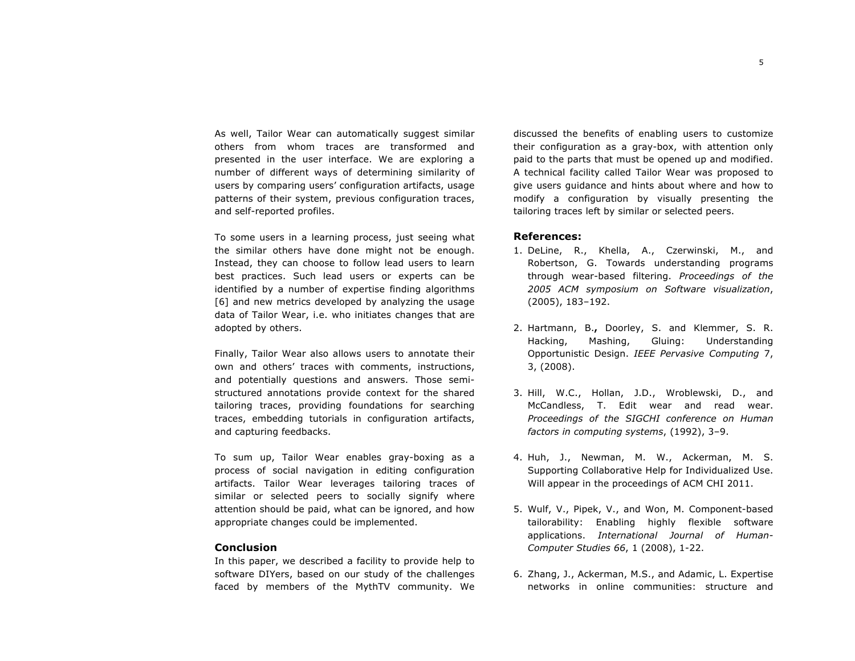As well, Tailor Wear can automatically suggest similar others from whom traces are transformed and presented in the user interface. We are exploring a number of different ways of determining similarity of users by comparing users' configuration artifacts, usage patterns of their system, previous configuration traces, and self-reported profiles.

To some users in a learning process, just seeing what the similar others have done might not be enough. Instead, they can choose to follow lead users to learn best practices. Such lead users or experts can be identified by a number of expertise finding algorithms [6] and new metrics developed by analyzing the usage data of Tailor Wear, i.e. who initiates changes that are adopted by others.

Finally, Tailor Wear also allows users to annotate their own and others' traces with comments, instructions, and potentially questions and answers. Those semistructured annotations provide context for the shared tailoring traces, providing foundations for searching traces, embedding tutorials in configuration artifacts, and capturing feedbacks.

To sum up, Tailor Wear enables gray-boxing as a process of social navigation in editing configuration artifacts. Tailor Wear leverages tailoring traces of similar or selected peers to socially signify where attention should be paid, what can be ignored, and how appropriate changes could be implemented.

## **Conclusion**

In this paper, we described a facility to provide help to software DIYers, based on our study of the challenges faced by members of the MythTV community. We discussed the benefits of enabling users to customize their configuration as a gray-box, with attention only paid to the parts that must be opened up and modified. A technical facility called Tailor Wear was proposed to give users guidance and hints about where and how to modify a configuration by visually presenting the tailoring traces left by similar or selected peers.

## **References:**

- 1. DeLine, R., Khella, A., Czerwinski, M., and Robertson, G. Towards understanding programs through wear-based filtering. *Proceedings of the 2005 ACM symposium on Software visualization*, (2005), 183–192.
- 2. Hartmann, B.**,** Doorley, S. and Klemmer, S. R. Hacking, Mashing, Gluing: Understanding Opportunistic Design. *IEEE Pervasive Computing* 7, 3, (2008).
- 3. Hill, W.C., Hollan, J.D., Wroblewski, D., and McCandless, T. Edit wear and read wear. *Proceedings of the SIGCHI conference on Human factors in computing systems*, (1992), 3–9.
- 4. Huh, J., Newman, M. W., Ackerman, M. S. Supporting Collaborative Help for Individualized Use. Will appear in the proceedings of ACM CHI 2011.
- 5. Wulf, V., Pipek, V., and Won, M. Component-based tailorability: Enabling highly flexible software applications. *International Journal of Human-Computer Studies 66*, 1 (2008), 1-22.
- 6. Zhang, J., Ackerman, M.S., and Adamic, L. Expertise networks in online communities: structure and